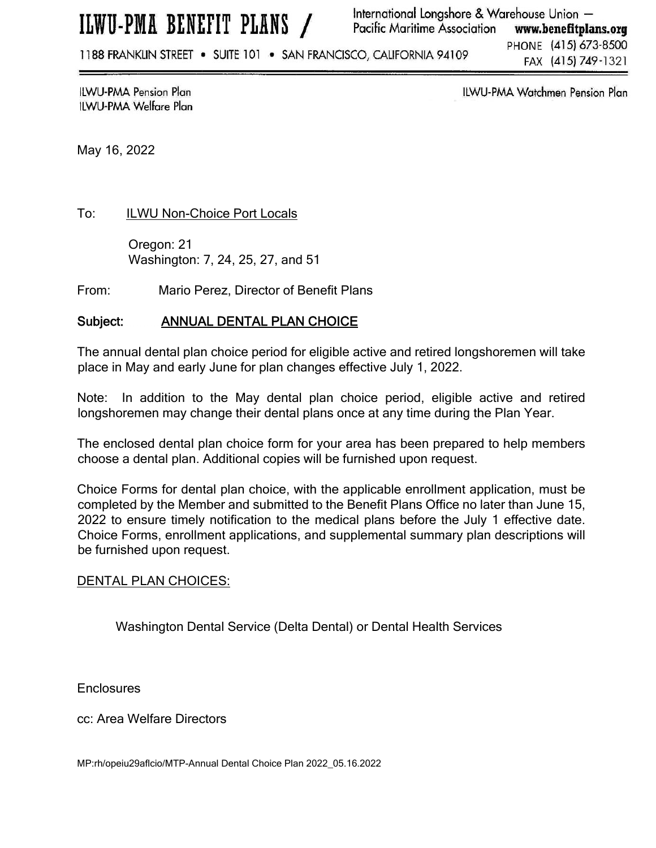ILWU-PMA BENEFIT PLANS /

International Longshore & Warehouse Union -**Pacific Maritime Association** www.benefitplans.org

1188 FRANKLIN STREET . SUITE 101 . SAN FRANCISCO, CALIFORNIA 94109

PHONE (415) 673-8500 FAX (415) 749-1321

**ILWU-PMA Pension Plan** ILWU-PMA Welfare Plan ILWU-PMA Watchmen Pension Plan

May 16, 2022

To: ILWU Non-Choice Port Locals

 Oregon: 21 Washington: 7, 24, 25, 27, and 51

From: Mario Perez, Director of Benefit Plans

## Subject: ANNUAL DENTAL PLAN CHOICE

The annual dental plan choice period for eligible active and retired longshoremen will take place in May and early June for plan changes effective July 1, 2022.

Note: In addition to the May dental plan choice period, eligible active and retired longshoremen may change their dental plans once at any time during the Plan Year.

The enclosed dental plan choice form for your area has been prepared to help members choose a dental plan. Additional copies will be furnished upon request.

Choice Forms for dental plan choice, with the applicable enrollment application, must be completed by the Member and submitted to the Benefit Plans Office no later than June 15, 2022 to ensure timely notification to the medical plans before the July 1 effective date. Choice Forms, enrollment applications, and supplemental summary plan descriptions will be furnished upon request.

### DENTAL PLAN CHOICES:

Washington Dental Service (Delta Dental) or Dental Health Services

**Enclosures** 

cc: Area Welfare Directors

MP:rh/opeiu29aflcio/MTP-Annual Dental Choice Plan 2022\_05.16.2022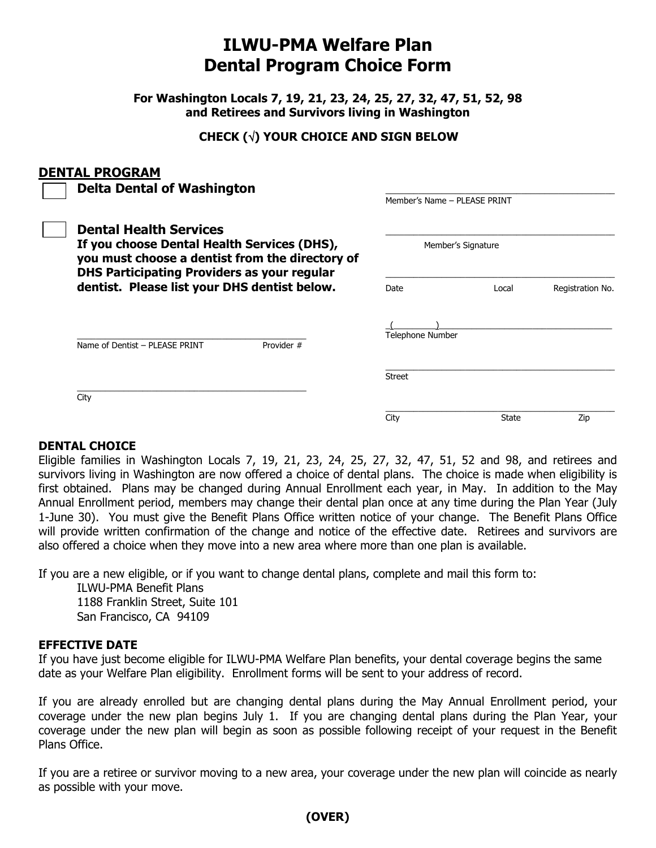# **ILWU-PMA Welfare Plan Dental Program Choice Form**

**For Washington Locals 7, 19, 21, 23, 24, 25, 27, 32, 47, 51, 52, 98 and Retirees and Survivors living in Washington**

# **CHECK () YOUR CHOICE AND SIGN BELOW**

### **DENTAL PROGRAM**

| <b>Delta Dental of Washington</b><br><b>Dental Health Services</b><br>If you choose Dental Health Services (DHS),<br>you must choose a dentist from the directory of<br><b>DHS Participating Providers as your regular</b> |            | Member's Name - PLEASE PRINT<br>Member's Signature |              |     |
|----------------------------------------------------------------------------------------------------------------------------------------------------------------------------------------------------------------------------|------------|----------------------------------------------------|--------------|-----|
|                                                                                                                                                                                                                            |            |                                                    |              |     |
|                                                                                                                                                                                                                            |            | <b>Telephone Number</b>                            |              |     |
| Name of Dentist - PLEASE PRINT                                                                                                                                                                                             | Provider # |                                                    |              |     |
|                                                                                                                                                                                                                            |            | <b>Street</b>                                      |              |     |
| City                                                                                                                                                                                                                       |            |                                                    |              |     |
|                                                                                                                                                                                                                            |            | City                                               | <b>State</b> | Zip |

### **DENTAL CHOICE**

Eligible families in Washington Locals 7, 19, 21, 23, 24, 25, 27, 32, 47, 51, 52 and 98, and retirees and survivors living in Washington are now offered a choice of dental plans. The choice is made when eligibility is first obtained. Plans may be changed during Annual Enrollment each year, in May. In addition to the May Annual Enrollment period, members may change their dental plan once at any time during the Plan Year (July 1-June 30). You must give the Benefit Plans Office written notice of your change. The Benefit Plans Office will provide written confirmation of the change and notice of the effective date. Retirees and survivors are also offered a choice when they move into a new area where more than one plan is available.

If you are a new eligible, or if you want to change dental plans, complete and mail this form to:

 ILWU-PMA Benefit Plans 1188 Franklin Street, Suite 101 San Francisco, CA 94109

### **EFFECTIVE DATE**

If you have just become eligible for ILWU-PMA Welfare Plan benefits, your dental coverage begins the same date as your Welfare Plan eligibility. Enrollment forms will be sent to your address of record.

If you are already enrolled but are changing dental plans during the May Annual Enrollment period, your coverage under the new plan begins July 1. If you are changing dental plans during the Plan Year, your coverage under the new plan will begin as soon as possible following receipt of your request in the Benefit Plans Office.

If you are a retiree or survivor moving to a new area, your coverage under the new plan will coincide as nearly as possible with your move.

# **(OVER)**